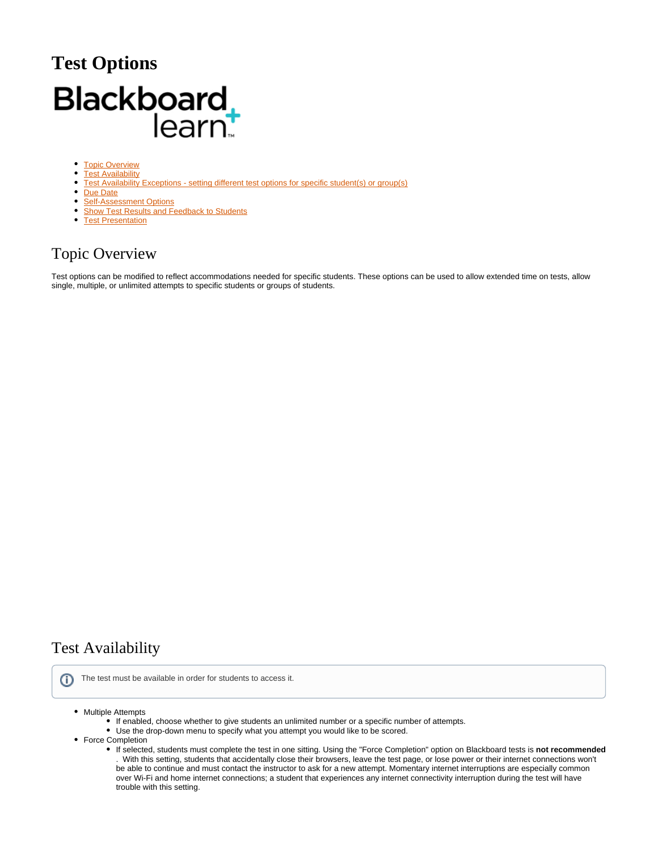# **Test Options** Blackboard<br>learnt

- $\bullet$ **[Topic Overview](#page-0-0)**  $\bullet$ **[Test Availability](#page-0-1)**
- <sup>o</sup> [Test Availability Exceptions setting different test options for specific student\(s\) or group\(s\)](#page-1-0)
- [Due Date](#page-2-0)
- [Self-Assessment Options](#page-2-1)
- **[Show Test Results and Feedback to Students](#page-2-2)**
- [Test Presentation](#page-2-3)

# <span id="page-0-0"></span>Topic Overview

Test options can be modified to reflect accommodations needed for specific students. These options can be used to allow extended time on tests, allow single, multiple, or unlimited attempts to specific students or groups of students.

# <span id="page-0-1"></span>Test Availability

ത The test must be available in order for students to access it.

- Multiple Attempts
	- If enabled, choose whether to give students an unlimited number or a specific number of attempts.
	- Use the drop-down menu to specify what you attempt you would like to be scored.
- Force Completion
	- If selected, students must complete the test in one sitting. Using the "Force Completion" option on Blackboard tests is **not recommended** . With this setting, students that accidentally close their browsers, leave the test page, or lose power or their internet connections won't be able to continue and must contact the instructor to ask for a new attempt. Momentary internet interruptions are especially common over Wi-Fi and home internet connections; a student that experiences any internet connectivity interruption during the test will have trouble with this setting.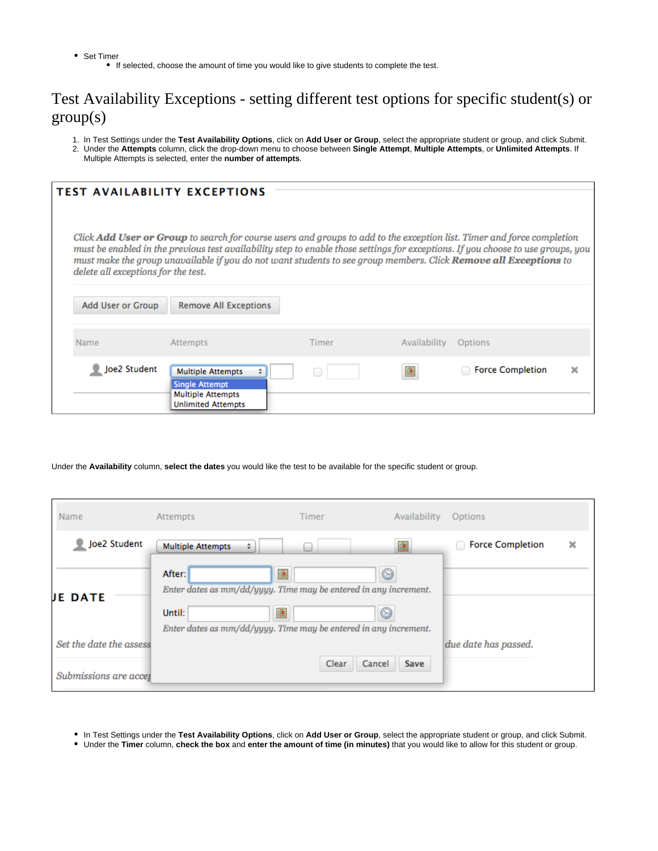• Set Timer If selected, choose the amount of time you would like to give students to complete the test.

# <span id="page-1-0"></span>Test Availability Exceptions - setting different test options for specific student(s) or  $group(s)$

- 1. In Test Settings under the **Test Availability Options**, click on **Add User or Group**, select the appropriate student or group, and click Submit.
- 2. Under the **Attempts** column, click the drop-down menu to choose between **Single Attempt**, **Multiple Attempts**, or **Unlimited Attempts**. If Multiple Attempts is selected, enter the **number of attempts**.

|                                                                                                                                                                                                                                                                                                                                                                                                                       | <b>TEST AVAILABILITY EXCEPTIONS</b>                                                                        |              |              |                         |  |  |  |  |
|-----------------------------------------------------------------------------------------------------------------------------------------------------------------------------------------------------------------------------------------------------------------------------------------------------------------------------------------------------------------------------------------------------------------------|------------------------------------------------------------------------------------------------------------|--------------|--------------|-------------------------|--|--|--|--|
| Click Add User or Group to search for course users and groups to add to the exception list. Timer and force completion<br>must be enabled in the previous test availability step to enable those settings for exceptions. If you choose to use groups, you<br>must make the group unavailable if you do not want students to see group members. Click Remove all Exceptions to<br>delete all exceptions for the test. |                                                                                                            |              |              |                         |  |  |  |  |
| Add User or Group                                                                                                                                                                                                                                                                                                                                                                                                     | <b>Remove All Exceptions</b>                                                                               |              |              |                         |  |  |  |  |
| Name                                                                                                                                                                                                                                                                                                                                                                                                                  | <b>Attempts</b>                                                                                            | <b>Timer</b> | Availability | Options                 |  |  |  |  |
| Joe2 Student                                                                                                                                                                                                                                                                                                                                                                                                          | <b>Multiple Attempts</b><br><b>Single Attempt</b><br><b>Multiple Attempts</b><br><b>Unlimited Attempts</b> |              | 匰            | <b>Force Completion</b> |  |  |  |  |

Under the **Availability** column, **select the dates** you would like the test to be available for the specific student or group.

| Name                    | Attempts                                                                                                                                                 | <b>Timer</b> | Availability   | Options                      |   |
|-------------------------|----------------------------------------------------------------------------------------------------------------------------------------------------------|--------------|----------------|------------------------------|---|
| Joe2 Student            | <b>Multiple Attempts</b><br>÷.                                                                                                                           |              | 圃              | <b>Force Completion</b><br>o | × |
| <b>JE DATE</b>          | After:<br>Enter dates as mm/dd/yyyy. Time may be entered in any increment.<br>Until:<br>Enter dates as mm/dd/yyyy. Time may be entered in any increment. | 圃<br>匾       | ☺<br>☺         |                              |   |
| Set the date the assess |                                                                                                                                                          |              |                | due date has passed.         |   |
| Submissions are accer   |                                                                                                                                                          | Clear        | Cancel<br>Save |                              |   |

In Test Settings under the **Test Availability Options**, click on **Add User or Group**, select the appropriate student or group, and click Submit.

Under the **Timer** column, **check the box** and **enter the amount of time (in minutes)** that you would like to allow for this student or group.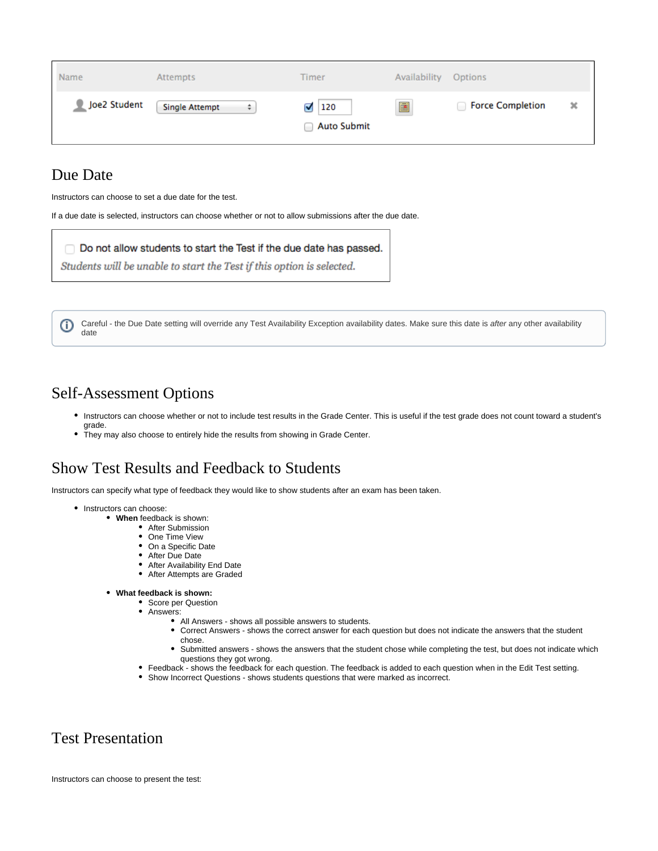| Name         | Attempts                   | Timer                          | Availability | Options                 |   |
|--------------|----------------------------|--------------------------------|--------------|-------------------------|---|
| Joe2 Student | <b>Single Attempt</b><br>÷ | 120<br>Ø<br><b>Auto Submit</b> | 匾            | <b>Force Completion</b> | × |

#### <span id="page-2-0"></span>Due Date

Instructors can choose to set a due date for the test.

If a due date is selected, instructors can choose whether or not to allow submissions after the due date.

#### Do not allow students to start the Test if the due date has passed.

Students will be unable to start the Test if this option is selected.

Careful - the Due Date setting will override any Test Availability Exception availability dates. Make sure this date is after any other availability ⊕ date

#### <span id="page-2-1"></span>Self-Assessment Options

- Instructors can choose whether or not to include test results in the Grade Center. This is useful if the test grade does not count toward a student's grade.
- $\bullet$ They may also choose to entirely hide the results from showing in Grade Center.

# <span id="page-2-2"></span>Show Test Results and Feedback to Students

Instructors can specify what type of feedback they would like to show students after an exam has been taken.

- Instructors can choose:
	- **When** feedback is shown:
		- After Submission
		- One Time View
		- On a Specific Date
		- After Due Date
		- After Availability End Date
		- After Attempts are Graded
	- **What feedback is shown:**
		- Score per Question
		- Answers:
			- All Answers shows all possible answers to students.
			- Correct Answers shows the correct answer for each question but does not indicate the answers that the student chose.
			- Submitted answers shows the answers that the student chose while completing the test, but does not indicate which questions they got wrong.
		- Feedback shows the feedback for each question. The feedback is added to each question when in the Edit Test setting.
		- Show Incorrect Questions shows students questions that were marked as incorrect.

# <span id="page-2-3"></span>Test Presentation

Instructors can choose to present the test: